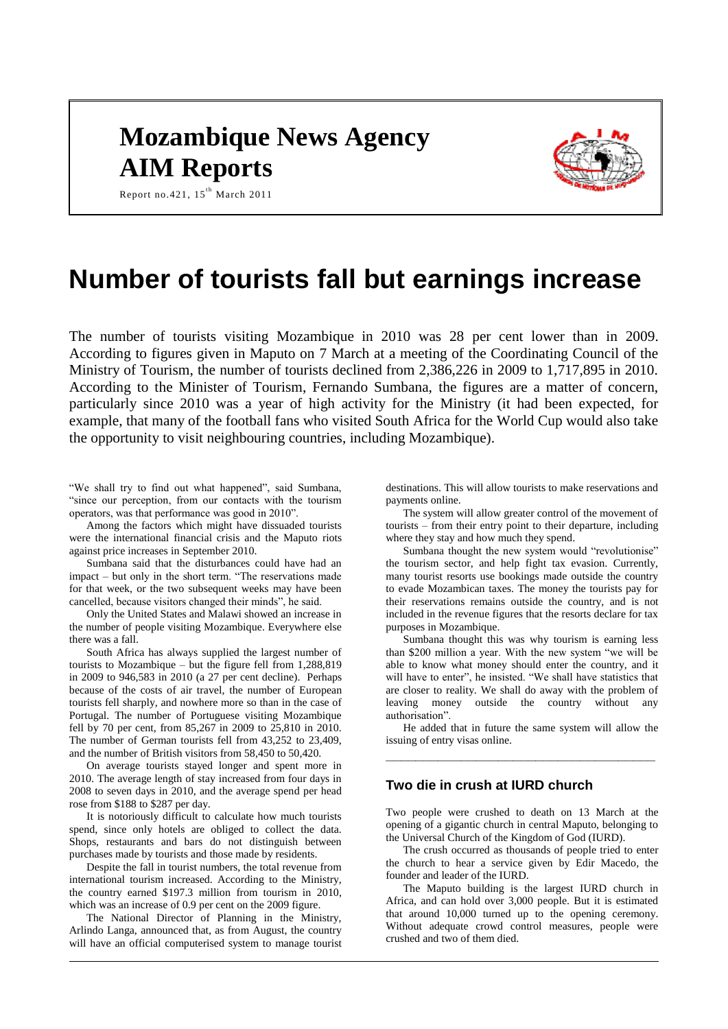# **Mozambique News Agency AIM Reports**



Report no.421,  $15^{th}$  March 2011

## **Number of tourists fall but earnings increase**

The number of tourists visiting Mozambique in 2010 was 28 per cent lower than in 2009. According to figures given in Maputo on 7 March at a meeting of the Coordinating Council of the Ministry of Tourism, the number of tourists declined from 2,386,226 in 2009 to 1,717,895 in 2010. According to the Minister of Tourism, Fernando Sumbana, the figures are a matter of concern, particularly since 2010 was a year of high activity for the Ministry (it had been expected, for example, that many of the football fans who visited South Africa for the World Cup would also take the opportunity to visit neighbouring countries, including Mozambique).

"We shall try to find out what happened", said Sumbana, "since our perception, from our contacts with the tourism operators, was that performance was good in 2010".

Among the factors which might have dissuaded tourists were the international financial crisis and the Maputo riots against price increases in September 2010.

Sumbana said that the disturbances could have had an impact – but only in the short term. "The reservations made for that week, or the two subsequent weeks may have been cancelled, because visitors changed their minds", he said.

Only the United States and Malawi showed an increase in the number of people visiting Mozambique. Everywhere else there was a fall.

South Africa has always supplied the largest number of tourists to Mozambique – but the figure fell from 1,288,819 in 2009 to 946,583 in 2010 (a 27 per cent decline). Perhaps because of the costs of air travel, the number of European tourists fell sharply, and nowhere more so than in the case of Portugal. The number of Portuguese visiting Mozambique fell by 70 per cent, from 85,267 in 2009 to 25,810 in 2010. The number of German tourists fell from 43,252 to 23,409, and the number of British visitors from 58,450 to 50,420.

On average tourists stayed longer and spent more in 2010. The average length of stay increased from four days in 2008 to seven days in 2010, and the average spend per head rose from \$188 to \$287 per day.

It is notoriously difficult to calculate how much tourists spend, since only hotels are obliged to collect the data. Shops, restaurants and bars do not distinguish between purchases made by tourists and those made by residents.

Despite the fall in tourist numbers, the total revenue from international tourism increased. According to the Ministry, the country earned \$197.3 million from tourism in 2010, which was an increase of 0.9 per cent on the 2009 figure.

The National Director of Planning in the Ministry, Arlindo Langa, announced that, as from August, the country will have an official computerised system to manage tourist destinations. This will allow tourists to make reservations and payments online.

The system will allow greater control of the movement of tourists – from their entry point to their departure, including where they stay and how much they spend.

Sumbana thought the new system would "revolutionise" the tourism sector, and help fight tax evasion. Currently, many tourist resorts use bookings made outside the country to evade Mozambican taxes. The money the tourists pay for their reservations remains outside the country, and is not included in the revenue figures that the resorts declare for tax purposes in Mozambique.

Sumbana thought this was why tourism is earning less than \$200 million a year. With the new system "we will be able to know what money should enter the country, and it will have to enter", he insisted. "We shall have statistics that are closer to reality. We shall do away with the problem of leaving money outside the country without any authorisation".

He added that in future the same system will allow the issuing of entry visas online. **\_\_\_\_\_\_\_\_\_\_\_\_\_\_\_\_\_\_\_\_\_\_\_\_\_\_\_\_\_\_\_\_\_\_\_\_**

## **Two die in crush at IURD church**

Two people were crushed to death on 13 March at the opening of a gigantic church in central Maputo, belonging to the Universal Church of the Kingdom of God (IURD).

The crush occurred as thousands of people tried to enter the church to hear a service given by Edir Macedo, the founder and leader of the IURD.

The Maputo building is the largest IURD church in Africa, and can hold over 3,000 people. But it is estimated that around 10,000 turned up to the opening ceremony. Without adequate crowd control measures, people were crushed and two of them died.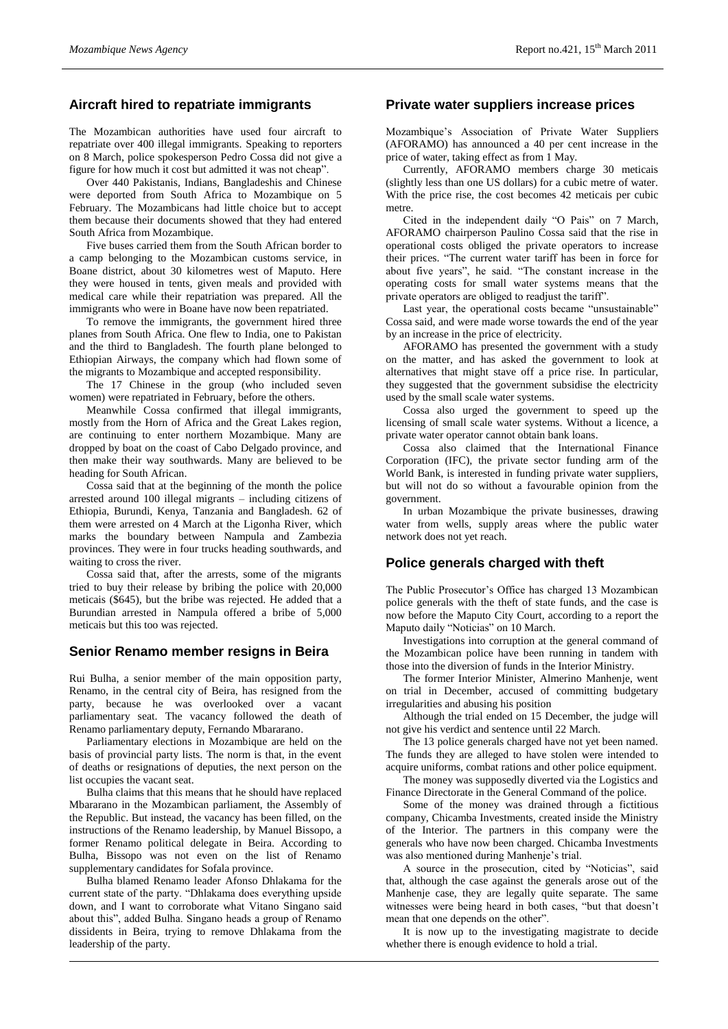## **Aircraft hired to repatriate immigrants**

The Mozambican authorities have used four aircraft to repatriate over 400 illegal immigrants. Speaking to reporters on 8 March, police spokesperson Pedro Cossa did not give a figure for how much it cost but admitted it was not cheap".

Over 440 Pakistanis, Indians, Bangladeshis and Chinese were deported from South Africa to Mozambique on 5 February. The Mozambicans had little choice but to accept them because their documents showed that they had entered South Africa from Mozambique.

Five buses carried them from the South African border to a camp belonging to the Mozambican customs service, in Boane district, about 30 kilometres west of Maputo. Here they were housed in tents, given meals and provided with medical care while their repatriation was prepared. All the immigrants who were in Boane have now been repatriated.

To remove the immigrants, the government hired three planes from South Africa. One flew to India, one to Pakistan and the third to Bangladesh. The fourth plane belonged to Ethiopian Airways, the company which had flown some of the migrants to Mozambique and accepted responsibility.

The 17 Chinese in the group (who included seven women) were repatriated in February, before the others.

Meanwhile Cossa confirmed that illegal immigrants, mostly from the Horn of Africa and the Great Lakes region, are continuing to enter northern Mozambique. Many are dropped by boat on the coast of Cabo Delgado province, and then make their way southwards. Many are believed to be heading for South African.

Cossa said that at the beginning of the month the police arrested around 100 illegal migrants – including citizens of Ethiopia, Burundi, Kenya, Tanzania and Bangladesh. 62 of them were arrested on 4 March at the Ligonha River, which marks the boundary between Nampula and Zambezia provinces. They were in four trucks heading southwards, and waiting to cross the river.

Cossa said that, after the arrests, some of the migrants tried to buy their release by bribing the police with 20,000 meticais (\$645), but the bribe was rejected. He added that a Burundian arrested in Nampula offered a bribe of 5,000 meticais but this too was rejected.

## **Senior Renamo member resigns in Beira**

Rui Bulha, a senior member of the main opposition party, Renamo, in the central city of Beira, has resigned from the party, because he was overlooked over a vacant parliamentary seat. The vacancy followed the death of Renamo parliamentary deputy, Fernando Mbararano.

Parliamentary elections in Mozambique are held on the basis of provincial party lists. The norm is that, in the event of deaths or resignations of deputies, the next person on the list occupies the vacant seat.

Bulha claims that this means that he should have replaced Mbararano in the Mozambican parliament, the Assembly of the Republic. But instead, the vacancy has been filled, on the instructions of the Renamo leadership, by Manuel Bissopo, a former Renamo political delegate in Beira. According to Bulha, Bissopo was not even on the list of Renamo supplementary candidates for Sofala province.

Bulha blamed Renamo leader Afonso Dhlakama for the current state of the party. "Dhlakama does everything upside down, and I want to corroborate what Vitano Singano said about this", added Bulha. Singano heads a group of Renamo dissidents in Beira, trying to remove Dhlakama from the leadership of the party.

#### **Private water suppliers increase prices**

Mozambique's Association of Private Water Suppliers (AFORAMO) has announced a 40 per cent increase in the price of water, taking effect as from 1 May.

Currently, AFORAMO members charge 30 meticais (slightly less than one US dollars) for a cubic metre of water. With the price rise, the cost becomes 42 meticais per cubic metre.

Cited in the independent daily "O Pais" on 7 March, AFORAMO chairperson Paulino Cossa said that the rise in operational costs obliged the private operators to increase their prices. "The current water tariff has been in force for about five years", he said. "The constant increase in the operating costs for small water systems means that the private operators are obliged to readjust the tariff".

Last year, the operational costs became "unsustainable" Cossa said, and were made worse towards the end of the year by an increase in the price of electricity.

AFORAMO has presented the government with a study on the matter, and has asked the government to look at alternatives that might stave off a price rise. In particular, they suggested that the government subsidise the electricity used by the small scale water systems.

Cossa also urged the government to speed up the licensing of small scale water systems. Without a licence, a private water operator cannot obtain bank loans.

Cossa also claimed that the International Finance Corporation (IFC), the private sector funding arm of the World Bank, is interested in funding private water suppliers, but will not do so without a favourable opinion from the government.

In urban Mozambique the private businesses, drawing water from wells, supply areas where the public water network does not yet reach.

## **Police generals charged with theft**

The Public Prosecutor's Office has charged 13 Mozambican police generals with the theft of state funds, and the case is now before the Maputo City Court, according to a report the Maputo daily "Noticias" on 10 March.

Investigations into corruption at the general command of the Mozambican police have been running in tandem with those into the diversion of funds in the Interior Ministry.

The former Interior Minister, Almerino Manhenje, went on trial in December, accused of committing budgetary irregularities and abusing his position

Although the trial ended on 15 December, the judge will not give his verdict and sentence until 22 March.

The 13 police generals charged have not yet been named. The funds they are alleged to have stolen were intended to acquire uniforms, combat rations and other police equipment.

The money was supposedly diverted via the Logistics and Finance Directorate in the General Command of the police.

Some of the money was drained through a fictitious company, Chicamba Investments, created inside the Ministry of the Interior. The partners in this company were the generals who have now been charged. Chicamba Investments was also mentioned during Manhenje's trial.

A source in the prosecution, cited by "Noticias", said that, although the case against the generals arose out of the Manhenje case, they are legally quite separate. The same witnesses were being heard in both cases, "but that doesn't mean that one depends on the other".

It is now up to the investigating magistrate to decide whether there is enough evidence to hold a trial.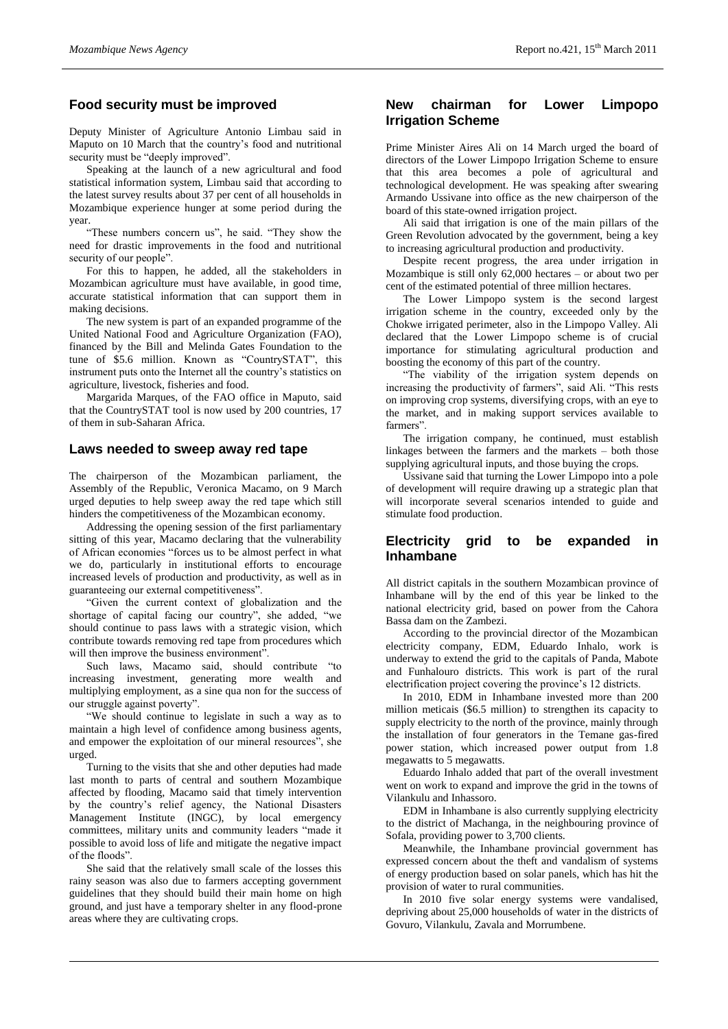## **Food security must be improved**

Deputy Minister of Agriculture Antonio Limbau said in Maputo on 10 March that the country's food and nutritional security must be "deeply improved".

Speaking at the launch of a new agricultural and food statistical information system, Limbau said that according to the latest survey results about 37 per cent of all households in Mozambique experience hunger at some period during the year.

"These numbers concern us", he said. "They show the need for drastic improvements in the food and nutritional security of our people".

For this to happen, he added, all the stakeholders in Mozambican agriculture must have available, in good time, accurate statistical information that can support them in making decisions.

The new system is part of an expanded programme of the United National Food and Agriculture Organization (FAO), financed by the Bill and Melinda Gates Foundation to the tune of \$5.6 million. Known as "CountrySTAT", this instrument puts onto the Internet all the country's statistics on agriculture, livestock, fisheries and food.

Margarida Marques, of the FAO office in Maputo, said that the CountrySTAT tool is now used by 200 countries, 17 of them in sub-Saharan Africa.

#### **Laws needed to sweep away red tape**

The chairperson of the Mozambican parliament, the Assembly of the Republic, Veronica Macamo, on 9 March urged deputies to help sweep away the red tape which still hinders the competitiveness of the Mozambican economy.

Addressing the opening session of the first parliamentary sitting of this year, Macamo declaring that the vulnerability of African economies "forces us to be almost perfect in what we do, particularly in institutional efforts to encourage increased levels of production and productivity, as well as in guaranteeing our external competitiveness".

"Given the current context of globalization and the shortage of capital facing our country", she added, "we should continue to pass laws with a strategic vision, which contribute towards removing red tape from procedures which will then improve the business environment".

Such laws, Macamo said, should contribute "to increasing investment, generating more wealth and multiplying employment, as a sine qua non for the success of our struggle against poverty".

"We should continue to legislate in such a way as to maintain a high level of confidence among business agents, and empower the exploitation of our mineral resources", she urged.

Turning to the visits that she and other deputies had made last month to parts of central and southern Mozambique affected by flooding, Macamo said that timely intervention by the country's relief agency, the National Disasters Management Institute (INGC), by local emergency committees, military units and community leaders "made it possible to avoid loss of life and mitigate the negative impact of the floods".

She said that the relatively small scale of the losses this rainy season was also due to farmers accepting government guidelines that they should build their main home on high ground, and just have a temporary shelter in any flood-prone areas where they are cultivating crops.

## **New chairman for Lower Limpopo Irrigation Scheme**

Prime Minister Aires Ali on 14 March urged the board of directors of the Lower Limpopo Irrigation Scheme to ensure that this area becomes a pole of agricultural and technological development. He was speaking after swearing Armando Ussivane into office as the new chairperson of the board of this state-owned irrigation project.

Ali said that irrigation is one of the main pillars of the Green Revolution advocated by the government, being a key to increasing agricultural production and productivity.

Despite recent progress, the area under irrigation in Mozambique is still only 62,000 hectares – or about two per cent of the estimated potential of three million hectares.

The Lower Limpopo system is the second largest irrigation scheme in the country, exceeded only by the Chokwe irrigated perimeter, also in the Limpopo Valley. Ali declared that the Lower Limpopo scheme is of crucial importance for stimulating agricultural production and boosting the economy of this part of the country.

"The viability of the irrigation system depends on increasing the productivity of farmers", said Ali. "This rests on improving crop systems, diversifying crops, with an eye to the market, and in making support services available to farmers".

The irrigation company, he continued, must establish linkages between the farmers and the markets – both those supplying agricultural inputs, and those buying the crops.

Ussivane said that turning the Lower Limpopo into a pole of development will require drawing up a strategic plan that will incorporate several scenarios intended to guide and stimulate food production.

## **Electricity grid to be expanded in Inhambane**

All district capitals in the southern Mozambican province of Inhambane will by the end of this year be linked to the national electricity grid, based on power from the Cahora Bassa dam on the Zambezi.

According to the provincial director of the Mozambican electricity company, EDM, Eduardo Inhalo, work is underway to extend the grid to the capitals of Panda, Mabote and Funhalouro districts. This work is part of the rural electrification project covering the province's 12 districts.

In 2010, EDM in Inhambane invested more than 200 million meticais (\$6.5 million) to strengthen its capacity to supply electricity to the north of the province, mainly through the installation of four generators in the Temane gas-fired power station, which increased power output from 1.8 megawatts to 5 megawatts.

Eduardo Inhalo added that part of the overall investment went on work to expand and improve the grid in the towns of Vilankulu and Inhassoro.

EDM in Inhambane is also currently supplying electricity to the district of Machanga, in the neighbouring province of Sofala, providing power to 3,700 clients.

Meanwhile, the Inhambane provincial government has expressed concern about the theft and vandalism of systems of energy production based on solar panels, which has hit the provision of water to rural communities.

In 2010 five solar energy systems were vandalised, depriving about 25,000 households of water in the districts of Govuro, Vilankulu, Zavala and Morrumbene.